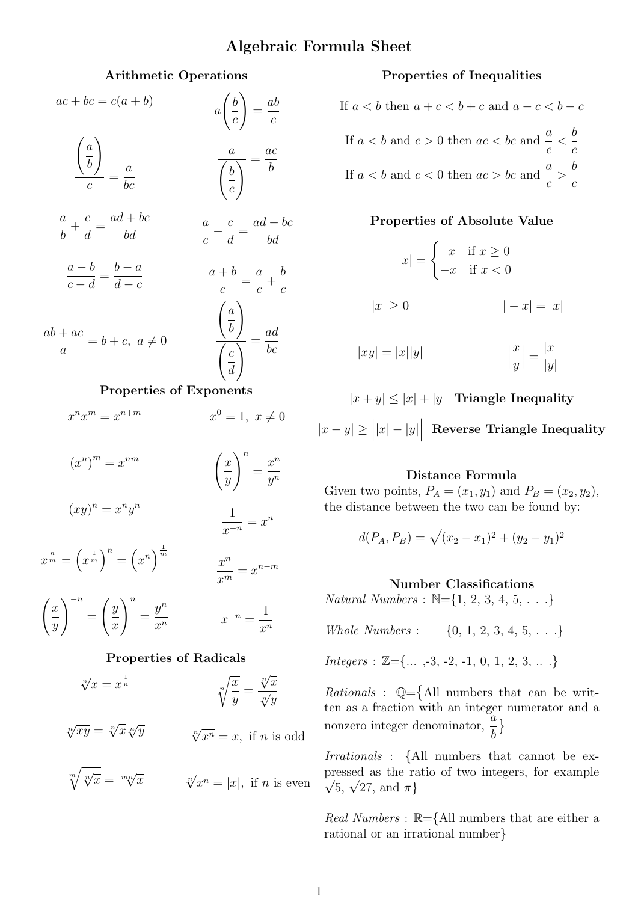## Algebraic Formula Sheet

#### Arithmetic Operations

| $ac + bc = c(a + b)$                                         | $a\left(\frac{b}{c}\right) = \frac{ab}{c}$                                  |
|--------------------------------------------------------------|-----------------------------------------------------------------------------|
| $\frac{\left(\frac{a}{b}\right)}{\frac{a}{b}} = \frac{a}{b}$ | $\frac{a}{\left(\frac{b}{c}\right)} = \frac{ac}{b}$                         |
| $\frac{a}{b} + \frac{c}{d} = \frac{ad + bc}{bd}$             | $\frac{a}{c} - \frac{c}{d} = \frac{ad - bc}{bd}$                            |
| $\frac{a-b}{a-d} = \frac{b-a}{d-a}$                          | $\frac{a+b}{c} = \frac{a}{c} + \frac{b}{c}$                                 |
| $\frac{ab+ac}{a} = b+c, \ a \neq 0$                          | $\frac{\left(\frac{a}{b}\right)}{\left(\frac{c}{d}\right)} = \frac{ad}{bc}$ |
| Properties of Exponents                                      |                                                                             |
| $x^n x^m = x^{n+m}$                                          | $x^0 = 1, x \neq 0$                                                         |
|                                                              |                                                                             |

$$
(x^n)^m = x^{nm}
$$

$$
\left(\frac{x}{y}\right)^n = \frac{x^n}{y^n}
$$

$$
(xy)^n = x^n y^n
$$

$$
\frac{1}{x^n} = x^n
$$

 $x^{-n}$ 

 $x^n$ 

$$
x^{\frac{n}{m}} = \left(x^{\frac{1}{m}}\right)^n = \left(x^n\right)^{\frac{1}{m}}
$$

$$
\frac{x^n}{x^m} = x^{n-m}
$$

$$
\left(\frac{x}{y}\right)^{-n} = \left(\frac{y}{x}\right)^n = \frac{y^n}{x^n} \qquad x^{-n} = \frac{1}{x^n}
$$

#### Properties of Radicals

$$
\sqrt[n]{x} = x^{\frac{1}{n}}
$$
\n
$$
\sqrt[n]{\frac{x}{y}} = \frac{\sqrt[n]{x}}{\sqrt[n]{y}}
$$

 $\sqrt[n]{xy} = \sqrt[n]{x} \sqrt[n]{y}$  $\sqrt[n]{x^n} = x$ , if *n* is odd

$$
\sqrt[m]{\sqrt[n]{x}} = \sqrt[mn]{x}
$$
\n
$$
\sqrt[n]{x^n} = |x|, \text{ if } n \text{ is even}
$$

## Properties of Inequalities

If 
$$
a < b
$$
 then  $a + c < b + c$  and  $a - c < b - c$   
\nIf  $a < b$  and  $c > 0$  then  $ac < bc$  and  $\frac{a}{c} < \frac{b}{c}$   
\nIf  $a < b$  and  $c < 0$  then  $ac > bc$  and  $\frac{a}{c} > \frac{b}{c}$ 

#### Properties of Absolute Value

$$
|x| = \begin{cases} x & \text{if } x \ge 0 \\ -x & \text{if } x < 0 \end{cases}
$$

$$
|x| \ge 0 \qquad | -x| = |x|
$$

$$
|xy| = |x||y| \qquad \qquad \left|\frac{x}{y}\right| = \frac{|x|}{|y|}
$$

 $|x + y| \leq |x| + |y|$  Triangle Inequality  $|x-y| \geq |x| - |y|$  Reverse Triangle Inequality

#### Distance Formula

Given two points,  $P_A = (x_1, y_1)$  and  $P_B = (x_2, y_2)$ , the distance between the two can be found by:

$$
d(P_A, P_B) = \sqrt{(x_2 - x_1)^2 + (y_2 - y_1)^2}
$$

#### Number Classifications

 $Natural Numbers : \mathbb{N} = \{1, 2, 3, 4, 5, \ldots\}$ 

Whole Numbers :  $\{0, 1, 2, 3, 4, 5, \ldots\}$ 

 $Integers : \mathbb{Z}=\{...,-3,-2,-1,0,1,2,3,...\}$ 

*Rationals* :  $\mathbb{Q} = \{$  All numbers that can be written as a fraction with an integer numerator and a nonzero integer denominator,  $\frac{a}{l}$ b  $\}$ 

Irrationals : {All numbers that cannot be expressed as the ratio of two integers, for example essed as the rate  $\overline{5}$ ,  $\sqrt{27}$ , and  $\pi$ }

Real Numbers :  $\mathbb{R}=\{$ All numbers that are either a rational or an irrational number}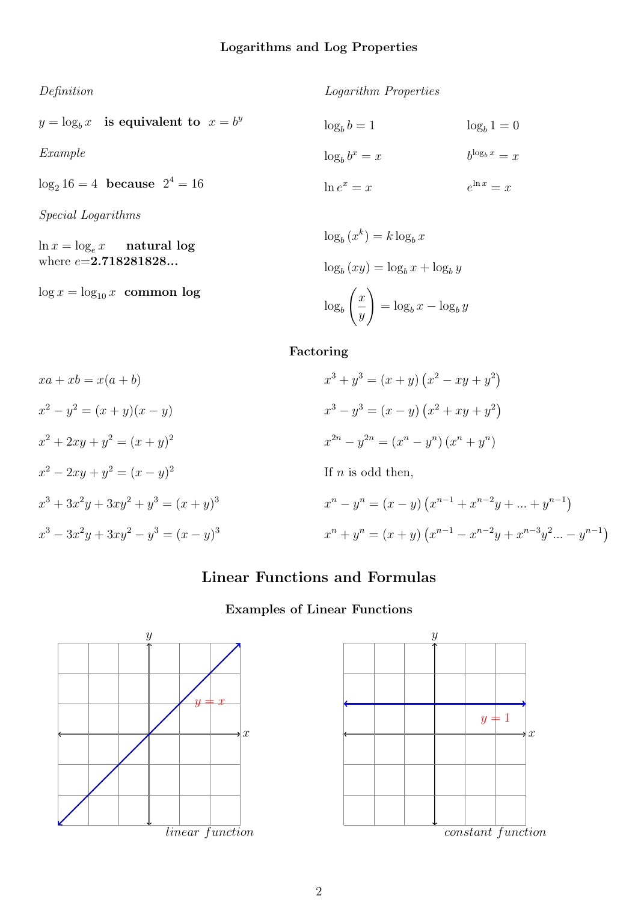Definition

 $y = \log_b x$  is equivalent to  $x = b^y$ 

Example

 $log_2 16 = 4$  because  $2^4 = 16$ 

Special Logarithms

 $\ln x = \log_e x$  natural log where  $e = 2.718281828...$ 

 $\log x = \log_{10} x$  common log

 $\log_b b = 1$  $\log_b b^x = x$  $\ln e^x = x$  $\log_b 1 = 0$  $b^{\log_b x} = x$  $e^{\ln x} = x$ 

Logarithm Properties

$$
\log_b (x^k) = k \log_b x
$$
  

$$
\log_b (xy) = \log_b x + \log_b y
$$
  

$$
\log_b \left(\frac{x}{y}\right) = \log_b x - \log_b y
$$

## Factoring

$$
xa + xb = x(a + b)
$$
  
\n
$$
x^{3} + y^{3} = (x + y) (x^{2} - xy + y^{2})
$$
  
\n
$$
x^{2} - y^{2} = (x + y)(x - y)
$$
  
\n
$$
x^{3} - y^{3} = (x - y) (x^{2} + xy + y^{2})
$$
  
\n
$$
x^{2} + 2xy + y^{2} = (x + y)^{2}
$$
  
\n
$$
x^{2} - 2xy + y^{2} = (x - y)^{2}
$$
  
\nIf n is odd then,  
\n
$$
x^{3} + 3x^{2}y + 3xy^{2} + y^{3} = (x + y)^{3}
$$
  
\nIf n is odd then,  
\n
$$
x^{n} - y^{n} = (x - y) (x^{n-1} + x^{n-2}y + ... + y^{n-1})
$$
  
\n
$$
x^{3} - 3x^{2}y + 3xy^{2} - y^{3} = (x - y)^{3}
$$
  
\n
$$
x^{n} + y^{n} = (x + y) (x^{n-1} - x^{n-2}y + x^{n-3}y^{2} ... - y^{n-1})
$$

# Linear Functions and Formulas

# Examples of Linear Functions



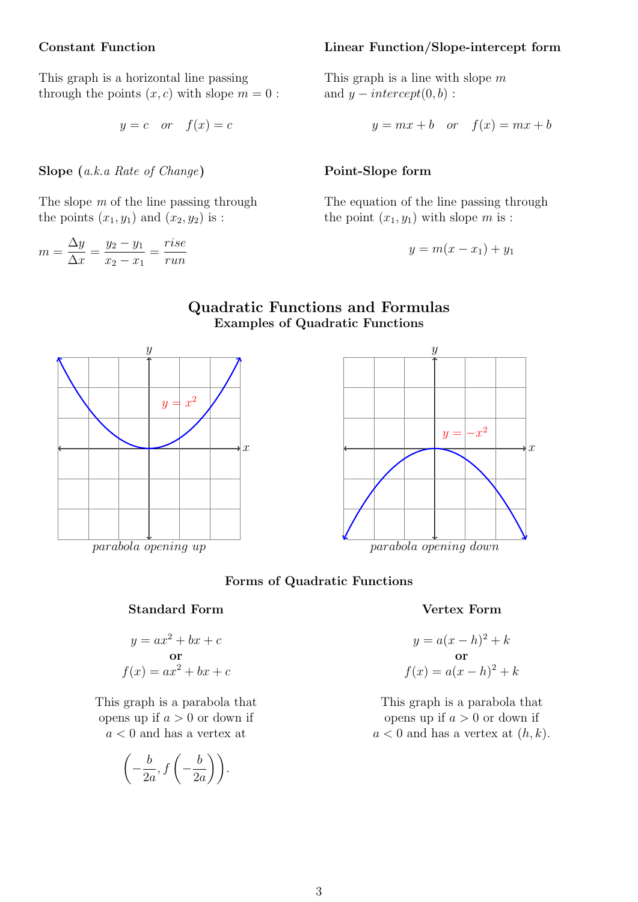#### Constant Function

This graph is a horizontal line passing through the points  $(x, c)$  with slope  $m = 0$ :

$$
y = c \quad or \quad f(x) = c
$$

Slope (a.k.a Rate of Change)

The slope m of the line passing through the points  $(x_1, y_1)$  and  $(x_2, y_2)$  is :

$$
m = \frac{\Delta y}{\Delta x} = \frac{y_2 - y_1}{x_2 - x_1} = \frac{rise}{run}
$$

#### Linear Function/Slope-intercept form

This graph is a line with slope  $m$ and  $y-intercept(0, b)$ :

$$
y = mx + b \quad or \quad f(x) = mx + b
$$

#### Point-Slope form

The equation of the line passing through the point  $(x_1, y_1)$  with slope m is :

$$
y = m(x - x_1) + y_1
$$

## Quadratic Functions and Formulas Examples of Quadratic Functions





#### Forms of Quadratic Functions

#### Vertex Form

$$
y = a(x - h)2 + k
$$
  
or  

$$
f(x) = a(x - h)2 + k
$$

This graph is a parabola that opens up if  $a > 0$  or down if  $a < 0$  and has a vertex at  $(h, k)$ .

This graph is a parabola that opens up if  $a > 0$  or down if  $a < 0$  and has a vertex at

Standard Form

 $y = ax^2 + bx + c$ or  $f(x) = ax^2 + bx + c$ 

$$
\left(-\frac{b}{2a}, f\left(-\frac{b}{2a}\right)\right).
$$